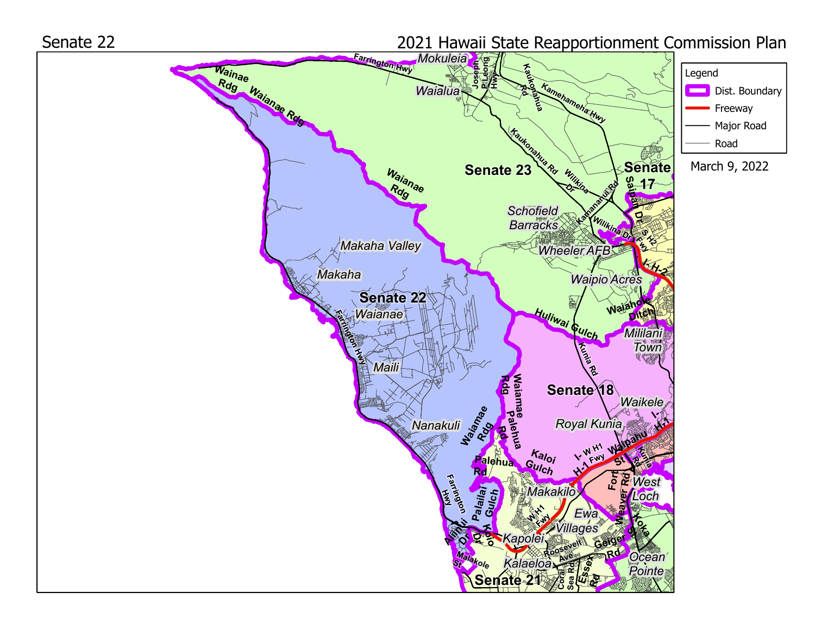